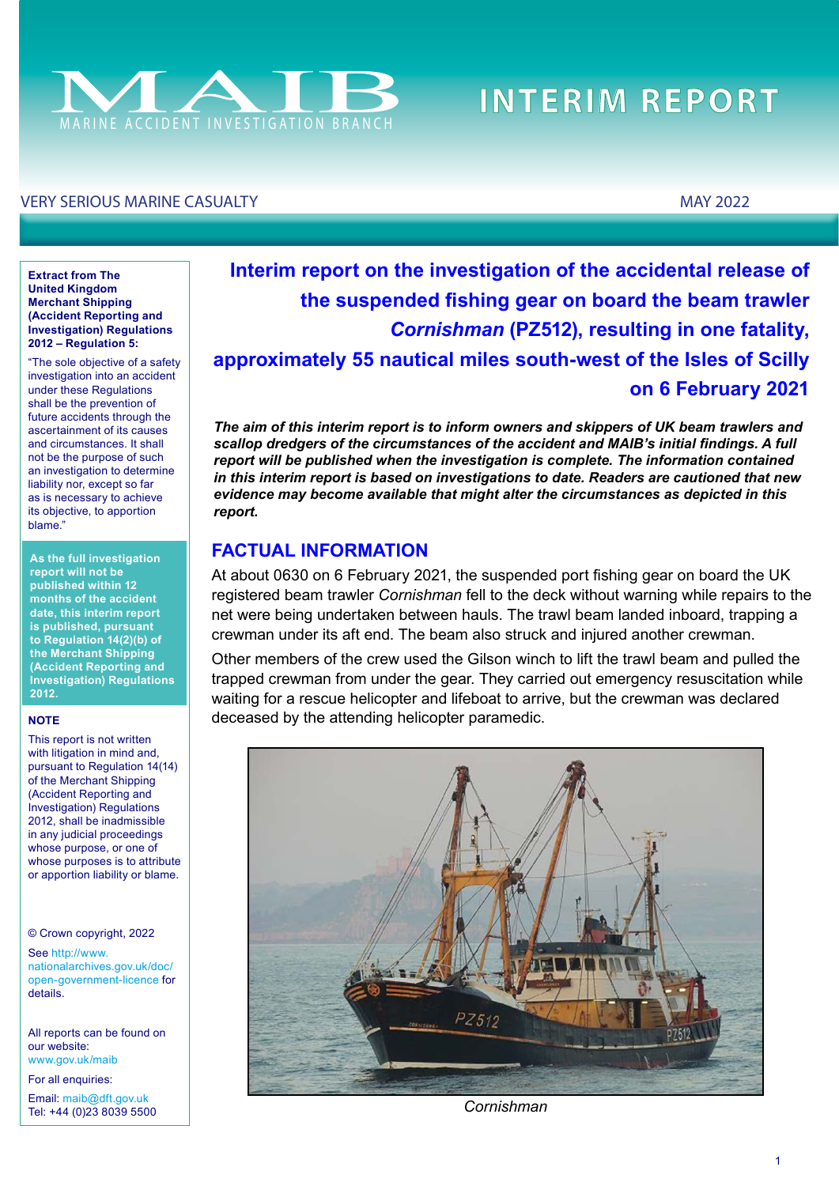

# **INTERIM REPORT**

#### VERY SERIOUS MARINE CASUALTY MAY 2022

#### **Extract from The United Kingdom Merchant Shipping (Accident Reporting and Investigation) Regulations 2012 – Regulation 5:**

"The sole objective of a safety investigation into an accident under these Regulations shall be the prevention of future accidents through the ascertainment of its causes and circumstances. It shall not be the purpose of such an investigation to determine liability nor, except so far as is necessary to achieve its objective, to apportion blame."

**As the full investigation report will not be published within 12 months of the accident date, this interim report is published, pursuant to Regulation 14(2)(b) of the Merchant Shipping (Accident Reporting and Investigation) Regulations 2012.**

#### **NOTE**

This report is not written with litigation in mind and, pursuant to Regulation 14(14) of the Merchant Shipping (Accident Reporting and Investigation) Regulations 2012, shall be inadmissible in any judicial proceedings whose purpose, or one of whose purposes is to attribute or apportion liability or blame.

© Crown copyright, 2022

See [http://www.](http://www.nationalarchives.gov.uk/doc/open-government-licence/) [nationalarchives.gov.uk/doc/](http://www.nationalarchives.gov.uk/doc/open-government-licence/) [open-government-licence](http://www.nationalarchives.gov.uk/doc/open-government-licence/) for details.

All reports can be found on our website: [www.gov.uk/maib](http://www.gov.uk/maib)

For all enquiries:

Email: [maib@dft.gov.uk](mailto:maib%40dft.gov.uk?subject=) Tel: +44 (0)23 8039 5500

# **Interim report on the investigation of the accidental release of the suspended fshing gear on board the beam trawler**  *Cornishman* **(PZ512), resulting in one fatality, approximately 55 nautical miles south-west of the Isles of Scilly on 6 February 2021**

*The aim of this interim report is to inform owners and skippers of UK beam trawlers and scallop dredgers of the circumstances of the accident and MAIB's initial fndings. A full report will be published when the investigation is complete. The information contained in this interim report is based on investigations to date. Readers are cautioned that new evidence may become available that might alter the circumstances as depicted in this report.*

### **FACTUAL INFORMATION**

At about 0630 on 6 February 2021, the suspended port fshing gear on board the UK registered beam trawler *Cornishman* fell to the deck without warning while repairs to the net were being undertaken between hauls. The trawl beam landed inboard, trapping a crewman under its aft end. The beam also struck and injured another crewman.

Other members of the crew used the Gilson winch to lift the trawl beam and pulled the trapped crewman from under the gear. They carried out emergency resuscitation while waiting for a rescue helicopter and lifeboat to arrive, but the crewman was declared deceased by the attending helicopter paramedic.



*Cornishman*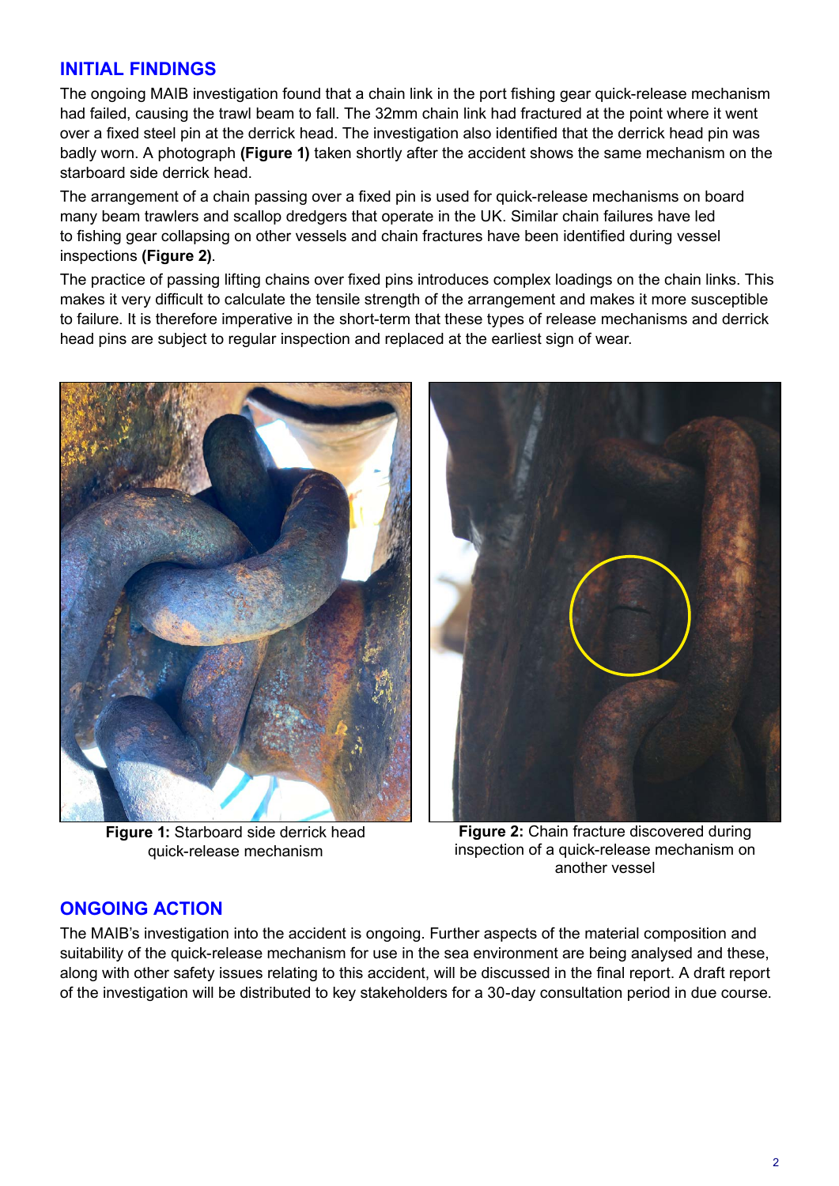### **INITIAL FINDINGS**

The ongoing MAIB investigation found that a chain link in the port fshing gear quick-release mechanism had failed, causing the trawl beam to fall. The 32mm chain link had fractured at the point where it went over a fxed steel pin at the derrick head. The investigation also identifed that the derrick head pin was badly worn. A photograph **(Figure 1)** taken shortly after the accident shows the same mechanism on the starboard side derrick head.

The arrangement of a chain passing over a fixed pin is used for quick-release mechanisms on board many beam trawlers and scallop dredgers that operate in the UK. Similar chain failures have led to fishing gear collapsing on other vessels and chain fractures have been identified during vessel inspections **(Figure 2)**.

The practice of passing lifting chains over fxed pins introduces complex loadings on the chain links. This makes it very difficult to calculate the tensile strength of the arrangement and makes it more susceptible to failure. It is therefore imperative in the short-term that these types of release mechanisms and derrick head pins are subject to regular inspection and replaced at the earliest sign of wear.



**Figure 1:** Starboard side derrick head quick-release mechanism



**Figure 2:** Chain fracture discovered during inspection of a quick-release mechanism on another vessel

### **ONGOING ACTION**

The MAIB's investigation into the accident is ongoing. Further aspects of the material composition and suitability of the quick-release mechanism for use in the sea environment are being analysed and these, along with other safety issues relating to this accident, will be discussed in the fnal report. A draft report of the investigation will be distributed to key stakeholders for a 30-day consultation period in due course.